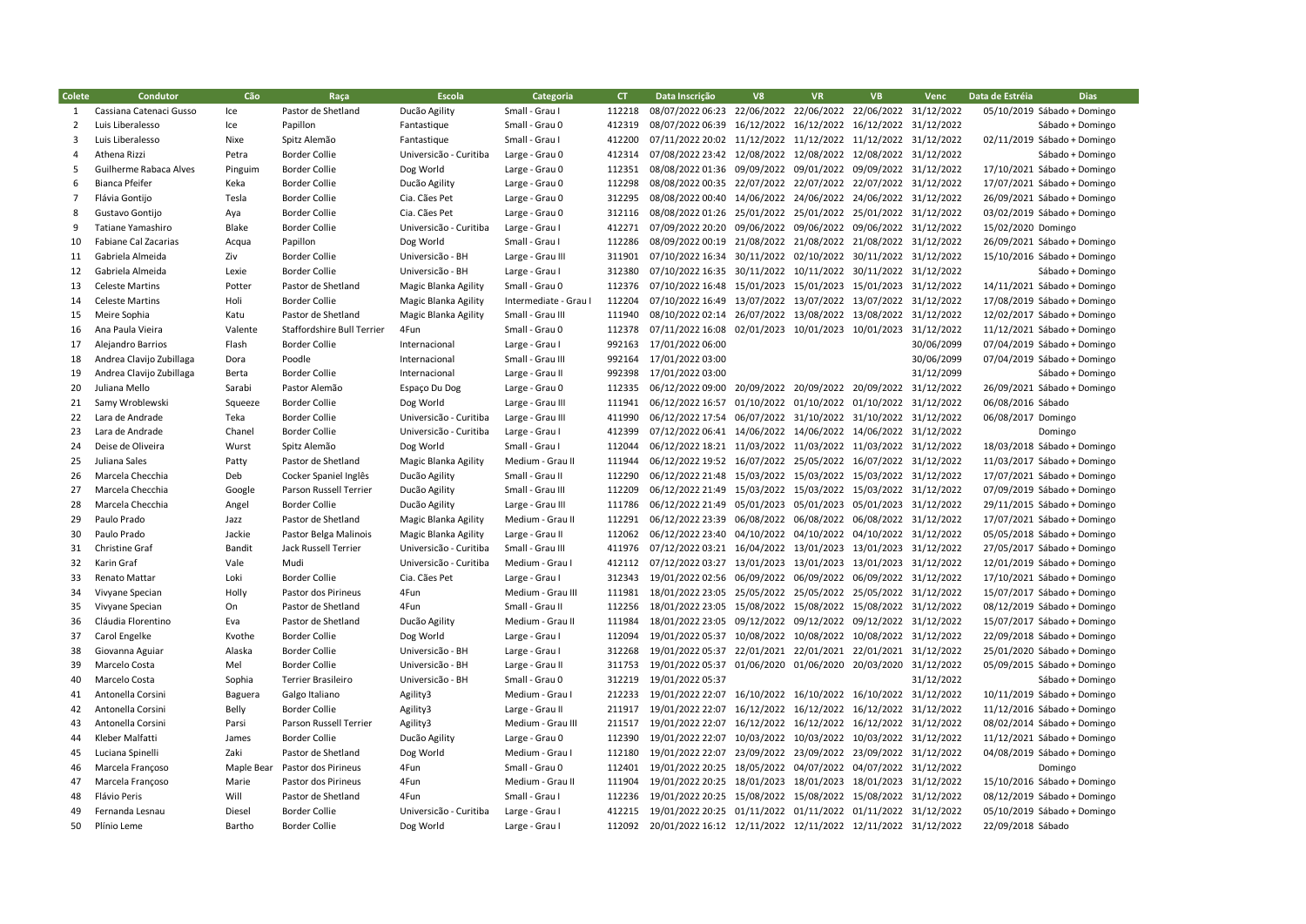| Colete         | Condutor                 | Cão        | Raça                              | Escola                 | Categoria             | CT.    | Data Inscrição                                               | V8         | <b>VR</b>                                   | <b>VB</b>                        | Venc       | Data de Estréia             | <b>Dias</b>      |
|----------------|--------------------------|------------|-----------------------------------|------------------------|-----------------------|--------|--------------------------------------------------------------|------------|---------------------------------------------|----------------------------------|------------|-----------------------------|------------------|
| 1              | Cassiana Catenaci Gusso  | Ice        | Pastor de Shetland                | Ducão Agility          | Small - Grau I        | 112218 | 08/07/2022 06:23                                             |            | 22/06/2022 22/06/2022 22/06/2022 31/12/2022 |                                  |            | 05/10/2019 Sábado + Domingo |                  |
| $\overline{2}$ | Luis Liberalesso         | Ice        | Papillon                          | Fantastique            | Small - Grau 0        | 412319 | 08/07/2022 06:39                                             |            | 16/12/2022 16/12/2022 16/12/2022 31/12/2022 |                                  |            |                             | Sábado + Domingo |
| 3              | Luis Liberalesso         | Nixe       | Spitz Alemão                      | Fantastique            | Small - Grau I        | 412200 | 07/11/2022 20:02                                             |            | 11/12/2022 11/12/2022 11/12/2022 31/12/2022 |                                  |            | 02/11/2019 Sábado + Domingo |                  |
| $\overline{a}$ | Athena Rizzi             | Petra      | <b>Border Collie</b>              | Universicão - Curitiba | Large - Grau 0        | 412314 | 07/08/2022 23:42                                             | 12/08/2022 | 12/08/2022 12/08/2022 31/12/2022            |                                  |            |                             | Sábado + Domingo |
| 5              | Guilherme Rabaca Alves   | Pinguim    | <b>Border Collie</b>              | Dog World              | Large - Grau 0        | 112351 | 08/08/2022 01:36                                             |            | 09/09/2022 09/01/2022 09/09/2022 31/12/2022 |                                  |            | 17/10/2021 Sábado + Domingo |                  |
| 6              | <b>Bianca Pfeifer</b>    | Keka       | <b>Border Collie</b>              | Ducão Agility          | Large - Grau 0        | 112298 | 08/08/2022 00:35                                             | 22/07/2022 |                                             | 22/07/2022 22/07/2022 31/12/2022 |            | 17/07/2021 Sábado + Domingo |                  |
| $\overline{7}$ | Flávia Gontijo           | Tesla      | <b>Border Collie</b>              | Cia. Cães Pet          | Large - Grau 0        | 312295 | 08/08/2022 00:40                                             | 14/06/2022 | 24/06/2022 24/06/2022 31/12/2022            |                                  |            | 26/09/2021 Sábado + Domingo |                  |
| 8              | Gustavo Gontijo          | Aya        | <b>Border Collie</b>              | Cia. Cães Pet          | Large - Grau 0        | 312116 | 08/08/2022 01:26                                             | 25/01/2022 |                                             | 25/01/2022 25/01/2022 31/12/2022 |            | 03/02/2019 Sábado + Domingo |                  |
| 9              | Tatiane Yamashiro        | Blake      | <b>Border Collie</b>              | Universicão - Curitiba | Large - Grau I        | 412271 | 07/09/2022 20:20                                             | 09/06/2022 | 09/06/2022 09/06/2022 31/12/2022            |                                  |            | 15/02/2020 Domingo          |                  |
| 10             | Fabiane Cal Zacarias     | Acqua      | Papillon                          | Dog World              | Small - Grau I        | 112286 | 08/09/2022 00:19                                             |            | 21/08/2022 21/08/2022 21/08/2022 31/12/2022 |                                  |            | 26/09/2021 Sábado + Domingo |                  |
| 11             | Gabriela Almeida         | Ziv        | <b>Border Collie</b>              | Universicão - BH       | Large - Grau III      | 311901 | 07/10/2022 16:34                                             |            | 30/11/2022 02/10/2022 30/11/2022 31/12/2022 |                                  |            | 15/10/2016 Sábado + Domingo |                  |
| 12             | Gabriela Almeida         | Lexie      | <b>Border Collie</b>              | Universicão - BH       | Large - Grau I        | 312380 | 07/10/2022 16:35                                             |            | 30/11/2022 10/11/2022 30/11/2022 31/12/2022 |                                  |            |                             | Sábado + Domingo |
| 13             | <b>Celeste Martins</b>   | Potter     | Pastor de Shetland                | Magic Blanka Agility   | Small - Grau 0        | 112376 | 07/10/2022 16:48                                             |            | 15/01/2023 15/01/2023 15/01/2023 31/12/2022 |                                  |            | 14/11/2021 Sábado + Domingo |                  |
| 14             | <b>Celeste Martins</b>   | Holi       | <b>Border Collie</b>              | Magic Blanka Agility   | Intermediate - Grau I | 112204 | 07/10/2022 16:49                                             |            | 13/07/2022 13/07/2022 13/07/2022 31/12/2022 |                                  |            | 17/08/2019 Sábado + Domingo |                  |
| 15             | Meire Sophia             | Katu       | Pastor de Shetland                | Magic Blanka Agility   | Small - Grau III      | 111940 | 08/10/2022 02:14                                             |            | 26/07/2022 13/08/2022 13/08/2022 31/12/2022 |                                  |            | 12/02/2017 Sábado + Domingo |                  |
| 16             | Ana Paula Vieira         | Valente    | <b>Staffordshire Bull Terrier</b> | 4Fun                   | Small - Grau 0        | 112378 | 07/11/2022 16:08                                             |            | 02/01/2023 10/01/2023 10/01/2023 31/12/2022 |                                  |            | 11/12/2021 Sábado + Domingo |                  |
| 17             | Alejandro Barrios        | Flash      | <b>Border Collie</b>              | Internacional          | Large - Grau I        | 992163 | 17/01/2022 06:00                                             |            |                                             |                                  | 30/06/2099 | 07/04/2019 Sábado + Domingo |                  |
| 18             | Andrea Clavijo Zubillaga | Dora       | Poodle                            | Internacional          | Small - Grau III      | 992164 | 17/01/2022 03:00                                             |            |                                             |                                  | 30/06/2099 | 07/04/2019 Sábado + Domingo |                  |
| 19             | Andrea Clavijo Zubillaga | Berta      | <b>Border Collie</b>              | Internacional          | Large - Grau II       | 992398 | 17/01/2022 03:00                                             |            |                                             |                                  | 31/12/2099 |                             | Sábado + Domingo |
| 20             | Juliana Mello            | Sarabi     | Pastor Alemão                     | Espaço Du Dog          | Large - Grau 0        | 112335 | 06/12/2022 09:00                                             |            | 20/09/2022 20/09/2022 20/09/2022 31/12/2022 |                                  |            | 26/09/2021 Sábado + Domingo |                  |
| 21             | Samy Wroblewski          | Squeeze    | <b>Border Collie</b>              | Dog World              | Large - Grau III      | 111941 | 06/12/2022 16:57                                             |            | 01/10/2022 01/10/2022 01/10/2022 31/12/2022 |                                  |            | 06/08/2016 Sábado           |                  |
| 22             | Lara de Andrade          | Teka       | <b>Border Collie</b>              | Universicão - Curitiba | Large - Grau III      | 411990 | 06/12/2022 17:54                                             |            | 06/07/2022 31/10/2022 31/10/2022 31/12/2022 |                                  |            | 06/08/2017 Domingo          |                  |
| 23             | Lara de Andrade          | Chanel     | <b>Border Collie</b>              | Universicão - Curitiba | Large - Grau I        | 412399 | 07/12/2022 06:41                                             |            | 14/06/2022 14/06/2022 14/06/2022 31/12/2022 |                                  |            |                             | Domingo          |
| 24             | Deise de Oliveira        | Wurst      | Spitz Alemão                      | Dog World              | Small - Grau I        | 112044 | 06/12/2022 18:21                                             |            | 11/03/2022 11/03/2022 11/03/2022 31/12/2022 |                                  |            | 18/03/2018 Sábado + Domingo |                  |
| 25             | Juliana Sales            | Patty      | Pastor de Shetland                | Magic Blanka Agility   | Medium - Grau II      | 111944 | 06/12/2022 19:52                                             |            | 16/07/2022 25/05/2022 16/07/2022 31/12/2022 |                                  |            | 11/03/2017 Sábado + Domingo |                  |
| 26             | Marcela Checchia         | Deb        | Cocker Spaniel Inglês             | Ducão Agility          | Small - Grau II       | 112290 | 06/12/2022 21:48                                             |            | 15/03/2022 15/03/2022 15/03/2022 31/12/2022 |                                  |            | 17/07/2021 Sábado + Domingo |                  |
| 27             | Marcela Checchia         | Google     | Parson Russell Terrier            | Ducão Agility          | Small - Grau III      | 112209 | 06/12/2022 21:49                                             |            | 15/03/2022 15/03/2022 15/03/2022 31/12/2022 |                                  |            | 07/09/2019 Sábado + Domingo |                  |
| 28             | Marcela Checchia         | Angel      | <b>Border Collie</b>              | Ducão Agility          | Large - Grau III      | 111786 | 06/12/2022 21:49                                             | 05/01/2023 | 05/01/2023                                  | 05/01/2023 31/12/2022            |            | 29/11/2015 Sábado + Domingo |                  |
| 29             | Paulo Prado              | Jazz       | Pastor de Shetland                | Magic Blanka Agility   | Medium - Grau II      | 112291 | 06/12/2022 23:39                                             | 06/08/2022 |                                             | 06/08/2022 06/08/2022 31/12/2022 |            | 17/07/2021 Sábado + Domingo |                  |
| 30             | Paulo Prado              | Jackie     | Pastor Belga Malinois             | Magic Blanka Agility   | Large - Grau II       | 112062 | 06/12/2022 23:40                                             | 04/10/2022 |                                             | 04/10/2022 04/10/2022 31/12/2022 |            | 05/05/2018 Sábado + Domingo |                  |
| 31             | Christine Graf           | Bandit     | <b>Jack Russell Terrier</b>       | Universicão - Curitiba | Small - Grau III      | 411976 | 07/12/2022 03:21                                             |            | 16/04/2022 13/01/2023 13/01/2023 31/12/2022 |                                  |            | 27/05/2017 Sábado + Domingo |                  |
| 32             | Karin Graf               | Vale       | Mudi                              | Universicão - Curitiba | Medium - Grau I       | 412112 | 07/12/2022 03:27                                             |            | 13/01/2023 13/01/2023 13/01/2023 31/12/2022 |                                  |            | 12/01/2019 Sábado + Domingo |                  |
| 33             | Renato Mattar            | Loki       | <b>Border Collie</b>              | Cia. Cães Pet          | Large - Grau I        | 312343 | 19/01/2022 02:56                                             | 06/09/2022 | 06/09/2022 06/09/2022 31/12/2022            |                                  |            | 17/10/2021 Sábado + Domingo |                  |
| 34             | Vivyane Specian          | Holly      | Pastor dos Pirineus               | 4Fun                   | Medium - Grau III     | 111981 | 18/01/2022 23:05                                             |            | 25/05/2022 25/05/2022 25/05/2022 31/12/2022 |                                  |            | 15/07/2017 Sábado + Domingo |                  |
| 35             | Vivyane Specian          | On         | Pastor de Shetland                | 4Fun                   | Small - Grau II       | 112256 | 18/01/2022 23:05                                             |            | 15/08/2022 15/08/2022 15/08/2022 31/12/2022 |                                  |            | 08/12/2019 Sábado + Domingo |                  |
| 36             | Cláudia Florentino       | Eva        | Pastor de Shetland                | Ducão Agility          | Medium - Grau II      | 111984 | 18/01/2022 23:05                                             |            | 09/12/2022 09/12/2022 09/12/2022 31/12/2022 |                                  |            | 15/07/2017 Sábado + Domingo |                  |
| 37             | Carol Engelke            | Kvothe     | <b>Border Collie</b>              | Dog World              | Large - Grau I        | 112094 | 19/01/2022 05:37                                             | 10/08/2022 | 10/08/2022 10/08/2022 31/12/2022            |                                  |            | 22/09/2018 Sábado + Domingo |                  |
| 38             | Giovanna Aguiar          | Alaska     | <b>Border Collie</b>              | Universicão - BH       | Large - Grau I        | 312268 | 19/01/2022 05:37                                             |            | 22/01/2021 22/01/2021 22/01/2021 31/12/2022 |                                  |            | 25/01/2020 Sábado + Domingo |                  |
| 39             | Marcelo Costa            | Mel        | <b>Border Collie</b>              | Universicão - BH       | Large - Grau II       | 311753 | 19/01/2022 05:37                                             |            | 01/06/2020 01/06/2020 20/03/2020 31/12/2022 |                                  |            | 05/09/2015 Sábado + Domingo |                  |
| 40             | Marcelo Costa            | Sophia     | Terrier Brasileiro                | Universicão - BH       | Small - Grau 0        | 312219 | 19/01/2022 05:37                                             |            |                                             |                                  | 31/12/2022 |                             | Sábado + Domingo |
| 41             | Antonella Corsini        | Baguera    | Galgo Italiano                    | Agility3               | Medium - Grau I       | 212233 | 19/01/2022 22:07                                             |            | 16/10/2022 16/10/2022 16/10/2022 31/12/2022 |                                  |            | 10/11/2019 Sábado + Domingo |                  |
| 42             | Antonella Corsini        | Belly      | <b>Border Collie</b>              | Agility3               | Large - Grau II       | 211917 | 19/01/2022 22:07                                             |            | 16/12/2022 16/12/2022 16/12/2022 31/12/2022 |                                  |            | 11/12/2016 Sábado + Domingo |                  |
| 43             | Antonella Corsini        | Parsi      | Parson Russell Terrier            | Agility3               | Medium - Grau III     | 211517 | 19/01/2022 22:07                                             |            | 16/12/2022 16/12/2022 16/12/2022 31/12/2022 |                                  |            | 08/02/2014 Sábado + Domingo |                  |
| 44             | Kleber Malfatti          | James      | <b>Border Collie</b>              | Ducão Agility          | Large - Grau 0        | 112390 | 19/01/2022 22:07                                             | 10/03/2022 | 10/03/2022 10/03/2022 31/12/2022            |                                  |            | 11/12/2021 Sábado + Domingo |                  |
| 45             | Luciana Spinelli         | Zaki       | Pastor de Shetland                | Dog World              | Medium - Grau I       | 112180 | 19/01/2022 22:07                                             |            | 23/09/2022 23/09/2022 23/09/2022 31/12/2022 |                                  |            | 04/08/2019 Sábado + Domingo |                  |
| 46             | Marcela Francoso         | Maple Bear | Pastor dos Pirineus               | 4Fun                   | Small - Grau 0        | 112401 | 19/01/2022 20:25                                             | 18/05/2022 |                                             | 04/07/2022 04/07/2022 31/12/2022 |            |                             | Domingo          |
| 47             | Marcela Françoso         | Marie      | Pastor dos Pirineus               | 4Fun                   | Medium - Grau II      | 111904 | 19/01/2022 20:25                                             |            | 18/01/2023 18/01/2023 18/01/2023 31/12/2022 |                                  |            | 15/10/2016 Sábado + Domingo |                  |
| 48             | Flávio Peris             | Will       | Pastor de Shetland                | 4Fun                   | Small - Grau I        | 112236 | 19/01/2022 20:25                                             |            | 15/08/2022 15/08/2022 15/08/2022 31/12/2022 |                                  |            | 08/12/2019 Sábado + Domingo |                  |
| 49             | Fernanda Lesnau          | Diesel     | <b>Border Collie</b>              | Universicão - Curitiba | Large - Grau I        | 412215 | 19/01/2022 20:25                                             |            | 01/11/2022 01/11/2022 01/11/2022 31/12/2022 |                                  |            | 05/10/2019 Sábado + Domingo |                  |
| 50             | Plínio Leme              | Bartho     | <b>Border Collie</b>              | Dog World              | Large - Grau I        | 112092 | 20/01/2022 16:12 12/11/2022 12/11/2022 12/11/2022 31/12/2022 |            |                                             |                                  |            | 22/09/2018 Sábado           |                  |